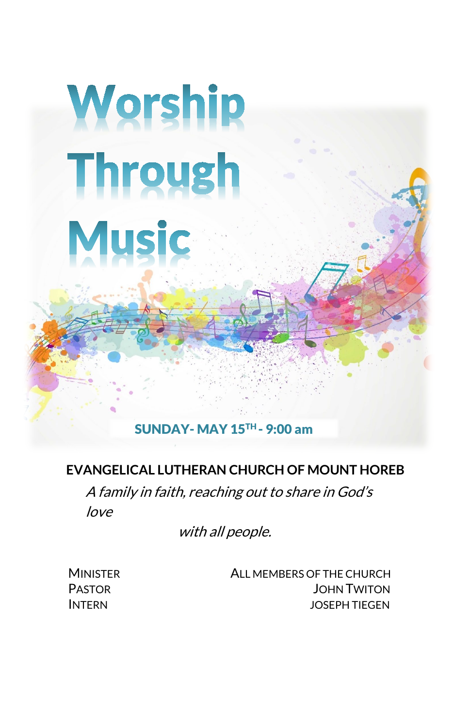# Worship **Through Music**

# SUNDAY- MAY 15TH - 9:00 am

#### **EVANGELICAL LUTHERAN CHURCH OF MOUNT HOREB**

A family in faith, reaching out to share in God's love

with all people.

 MINISTER ALL MEMBERS OF THE CHURCH PASTOR JOHN TWITON INTERN JOSEPH TIEGEN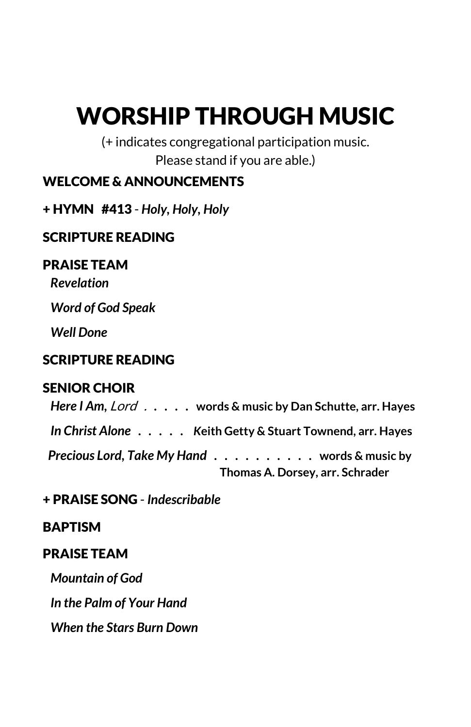# WORSHIP THROUGH MUSIC

(+ indicates congregational participation music. Please stand if you are able.)

# WELCOME & ANNOUNCEMENTS

# + HYMN #413 - *Holy, Holy, Holy*

# SCRIPTURE READING

#### PRAISE TEAM

*Revelation*

 *Word of God Speak*

 *Well Done*

# SCRIPTURE READING

# SENIOR CHOIR

*Here I Am,* Lord . *. . . .* **words & music by Dan Schutte, arr. Hayes** *In Christ Alone . . . . . K***eith Getty & Stuart Townend, arr. Hayes** *Precious Lord, Take My Hand . . . . . . . . . .* **words & music by** **Thomas A. Dorsey, arr. Schrader**

+ PRAISE SONG - *Indescribable*

# BAPTISM

#### PRAISE TEAM

*Mountain of God In the Palm of Your Hand*

 *When the Stars Burn Down*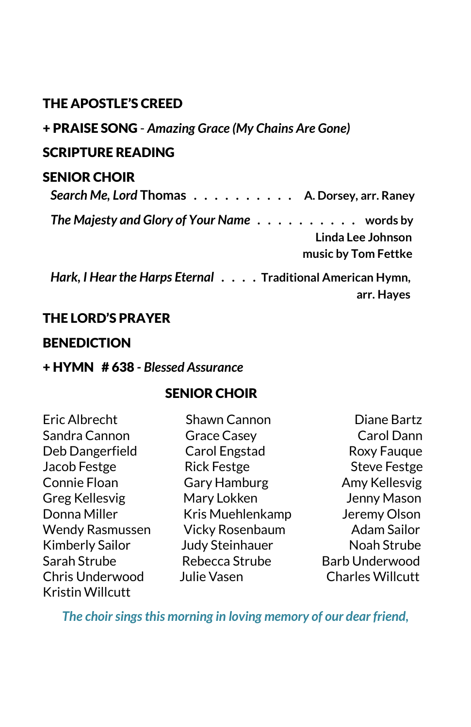# THE APOSTLE'S CREED

#### + PRAISE SONG - *Amazing Grace (My Chains Are Gone)*

#### SCRIPTURE READING

#### SENIOR CHOIR

| Search Me, Lord Thomas A. Dorsey, arr. Raney                          |
|-----------------------------------------------------------------------|
| The Majesty and Glory of Your Name $\dots \dots \dots \dots$ words by |
| Linda Lee Johnson                                                     |
| music by Tom Fettke                                                   |
| Hark, I Hear the Harps Eternal Traditional American Hymn,             |

#### THE LORD'S PRAYER

#### **BENEDICTION**

#### + HYMN # 638 *- Blessed Assurance*

#### SENIOR CHOIR

Sandra Cannon Grace Casey Carol Dann Deb Dangerfield Carol Engstad Roxy Fauque Jacob Festge Rick Festge Steve Festge Connie Floan Gary Hamburg Connie Floan Greg Kellesvig Mary Lokken Street Henny Mason Donna Miller Kris Muehlenkamp Jeremy Olson Wendy Rasmussen Vicky Rosenbaum Adam Sailor Kimberly Sailor Judy Steinhauer Noah Strube Sarah Strube **Rebecca Strube** Barb Underwood Chris Underwood Julie Vasen Charles Willcutt Kristin Willcutt

Eric Albrecht Shawn Cannon Diane Bartz

 **arr. Hayes**

*The choir sings this morning in loving memory of our dear friend,*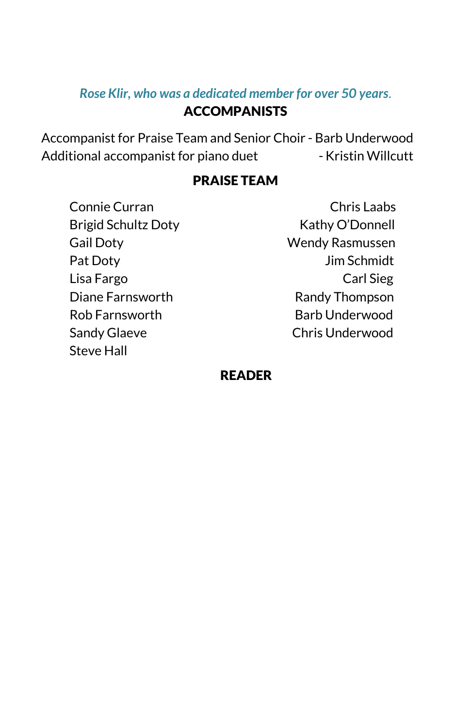## *Rose Klir, who was a dedicated member for over 50 years*.

# ACCOMPANISTS

Accompanist for Praise Team and Senior Choir - Barb Underwood Additional accompanist for piano duet - Kristin Willcutt

# PRAISE TEAM

Pat Doty **Dim Schmidt** Diane Farnsworth Randy Thompson Rob Farnsworth Barb Underwood Sandy Glaeve Chris Underwood Steve Hall

Connie Curran Chris Laabs Brigid Schultz Doty Kathy O'Donnell Gail Doty Wendy Rasmussen Lisa Fargo Carl Sieg

#### READER